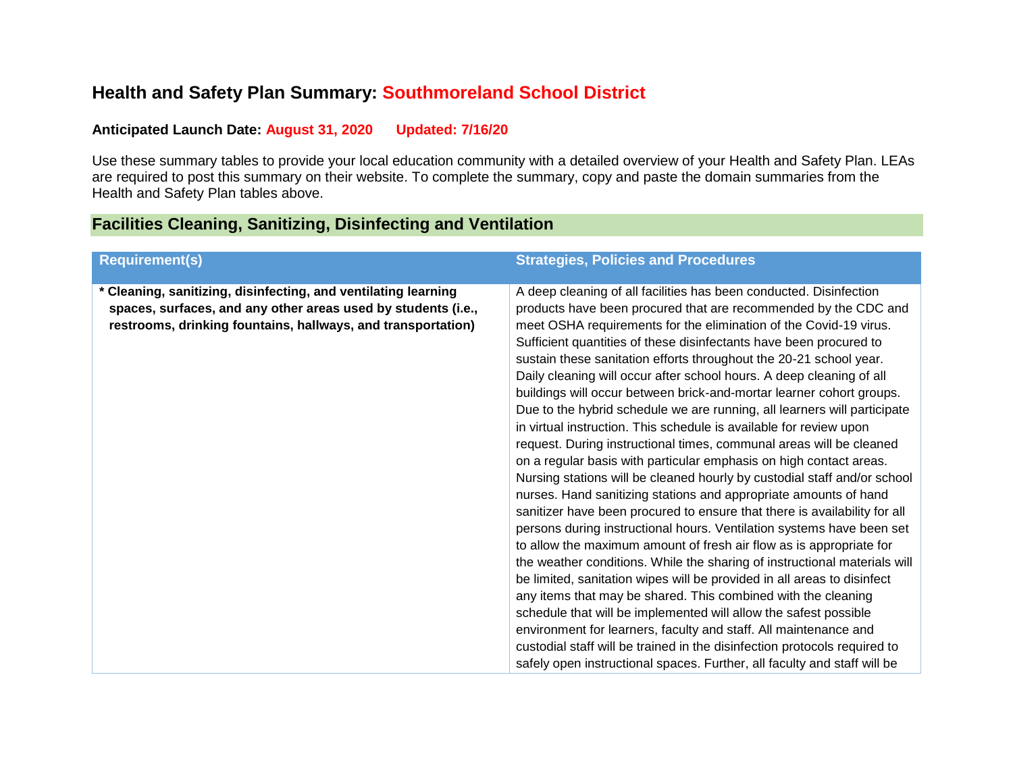## **Health and Safety Plan Summary: Southmoreland School District**

#### **Anticipated Launch Date: August 31, 2020 Updated: 7/16/20**

Use these summary tables to provide your local education community with a detailed overview of your Health and Safety Plan. LEAs are required to post this summary on their website. To complete the summary, copy and paste the domain summaries from the Health and Safety Plan tables above.

## **Facilities Cleaning, Sanitizing, Disinfecting and Ventilation**

| <b>Requirement(s)</b>                                                                                                                                                                           | <b>Strategies, Policies and Procedures</b>                                                                                                                                                                                                                                                                                                                                                                                                                                                                                                                                                                                                                                                                                                                                                                                                                                                                                                                                                                                                                                                                                                                                                                                                                                                                                                                                                                                                                                                                                                                                                                                                                                                                   |
|-------------------------------------------------------------------------------------------------------------------------------------------------------------------------------------------------|--------------------------------------------------------------------------------------------------------------------------------------------------------------------------------------------------------------------------------------------------------------------------------------------------------------------------------------------------------------------------------------------------------------------------------------------------------------------------------------------------------------------------------------------------------------------------------------------------------------------------------------------------------------------------------------------------------------------------------------------------------------------------------------------------------------------------------------------------------------------------------------------------------------------------------------------------------------------------------------------------------------------------------------------------------------------------------------------------------------------------------------------------------------------------------------------------------------------------------------------------------------------------------------------------------------------------------------------------------------------------------------------------------------------------------------------------------------------------------------------------------------------------------------------------------------------------------------------------------------------------------------------------------------------------------------------------------------|
| * Cleaning, sanitizing, disinfecting, and ventilating learning<br>spaces, surfaces, and any other areas used by students (i.e.,<br>restrooms, drinking fountains, hallways, and transportation) | A deep cleaning of all facilities has been conducted. Disinfection<br>products have been procured that are recommended by the CDC and<br>meet OSHA requirements for the elimination of the Covid-19 virus.<br>Sufficient quantities of these disinfectants have been procured to<br>sustain these sanitation efforts throughout the 20-21 school year.<br>Daily cleaning will occur after school hours. A deep cleaning of all<br>buildings will occur between brick-and-mortar learner cohort groups.<br>Due to the hybrid schedule we are running, all learners will participate<br>in virtual instruction. This schedule is available for review upon<br>request. During instructional times, communal areas will be cleaned<br>on a regular basis with particular emphasis on high contact areas.<br>Nursing stations will be cleaned hourly by custodial staff and/or school<br>nurses. Hand sanitizing stations and appropriate amounts of hand<br>sanitizer have been procured to ensure that there is availability for all<br>persons during instructional hours. Ventilation systems have been set<br>to allow the maximum amount of fresh air flow as is appropriate for<br>the weather conditions. While the sharing of instructional materials will<br>be limited, sanitation wipes will be provided in all areas to disinfect<br>any items that may be shared. This combined with the cleaning<br>schedule that will be implemented will allow the safest possible<br>environment for learners, faculty and staff. All maintenance and<br>custodial staff will be trained in the disinfection protocols required to<br>safely open instructional spaces. Further, all faculty and staff will be |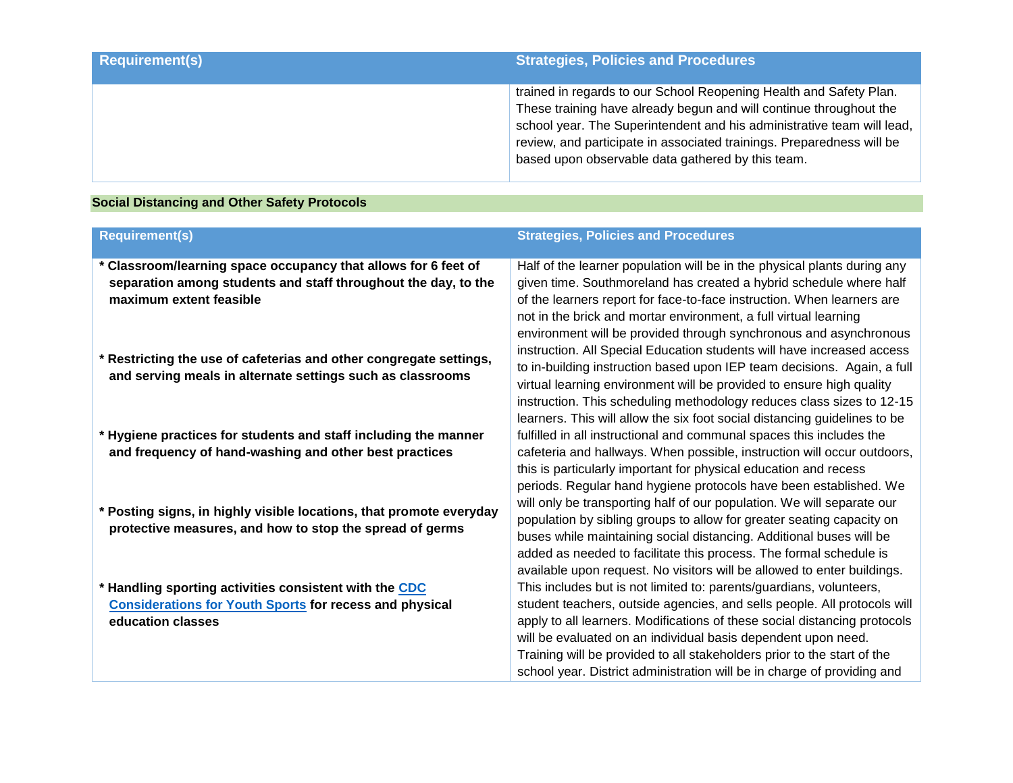| <b>Requirement(s)</b> | Strategies, Policies and Procedures                                                                                                                                                                                                                                                                                                              |
|-----------------------|--------------------------------------------------------------------------------------------------------------------------------------------------------------------------------------------------------------------------------------------------------------------------------------------------------------------------------------------------|
|                       | trained in regards to our School Reopening Health and Safety Plan.<br>These training have already begun and will continue throughout the<br>school year. The Superintendent and his administrative team will lead,<br>review, and participate in associated trainings. Preparedness will be<br>based upon observable data gathered by this team. |

## **Social Distancing and Other Safety Protocols**

| <b>Requirement(s)</b>                                                                                                                                       | <b>Strategies, Policies and Procedures</b>                                                                                                                                                                                                                                                                                                                                                                                                                                                                       |
|-------------------------------------------------------------------------------------------------------------------------------------------------------------|------------------------------------------------------------------------------------------------------------------------------------------------------------------------------------------------------------------------------------------------------------------------------------------------------------------------------------------------------------------------------------------------------------------------------------------------------------------------------------------------------------------|
| * Classroom/learning space occupancy that allows for 6 feet of<br>separation among students and staff throughout the day, to the<br>maximum extent feasible | Half of the learner population will be in the physical plants during any<br>given time. Southmoreland has created a hybrid schedule where half<br>of the learners report for face-to-face instruction. When learners are<br>not in the brick and mortar environment, a full virtual learning<br>environment will be provided through synchronous and asynchronous                                                                                                                                                |
| Restricting the use of cafeterias and other congregate settings,<br>and serving meals in alternate settings such as classrooms                              | instruction. All Special Education students will have increased access<br>to in-building instruction based upon IEP team decisions. Again, a full<br>virtual learning environment will be provided to ensure high quality<br>instruction. This scheduling methodology reduces class sizes to 12-15<br>learners. This will allow the six foot social distancing guidelines to be                                                                                                                                  |
| * Hygiene practices for students and staff including the manner<br>and frequency of hand-washing and other best practices                                   | fulfilled in all instructional and communal spaces this includes the<br>cafeteria and hallways. When possible, instruction will occur outdoors,                                                                                                                                                                                                                                                                                                                                                                  |
| * Posting signs, in highly visible locations, that promote everyday<br>protective measures, and how to stop the spread of germs                             | this is particularly important for physical education and recess<br>periods. Regular hand hygiene protocols have been established. We<br>will only be transporting half of our population. We will separate our<br>population by sibling groups to allow for greater seating capacity on<br>buses while maintaining social distancing. Additional buses will be<br>added as needed to facilitate this process. The formal schedule is<br>available upon request. No visitors will be allowed to enter buildings. |
| Handling sporting activities consistent with the CDC                                                                                                        | This includes but is not limited to: parents/guardians, volunteers,                                                                                                                                                                                                                                                                                                                                                                                                                                              |
| <b>Considerations for Youth Sports for recess and physical</b><br>education classes                                                                         | student teachers, outside agencies, and sells people. All protocols will<br>apply to all learners. Modifications of these social distancing protocols<br>will be evaluated on an individual basis dependent upon need.<br>Training will be provided to all stakeholders prior to the start of the<br>school year. District administration will be in charge of providing and                                                                                                                                     |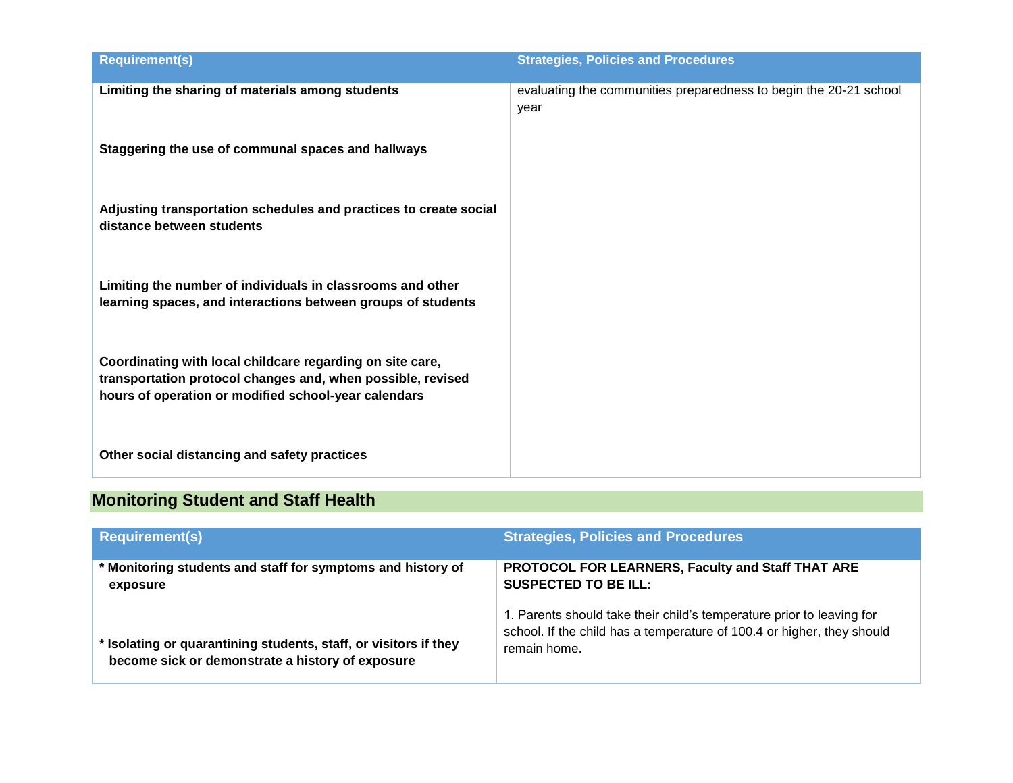| <b>Requirement(s)</b>                                                                                                                                                            | <b>Strategies, Policies and Procedures</b>                                |
|----------------------------------------------------------------------------------------------------------------------------------------------------------------------------------|---------------------------------------------------------------------------|
| Limiting the sharing of materials among students                                                                                                                                 | evaluating the communities preparedness to begin the 20-21 school<br>year |
| Staggering the use of communal spaces and hallways                                                                                                                               |                                                                           |
| Adjusting transportation schedules and practices to create social<br>distance between students                                                                                   |                                                                           |
| Limiting the number of individuals in classrooms and other<br>learning spaces, and interactions between groups of students                                                       |                                                                           |
| Coordinating with local childcare regarding on site care,<br>transportation protocol changes and, when possible, revised<br>hours of operation or modified school-year calendars |                                                                           |
| Other social distancing and safety practices                                                                                                                                     |                                                                           |

# **Monitoring Student and Staff Health**

| <b>Requirement(s)</b>                                                                                                | <b>Strategies, Policies and Procedures</b>                                                                                                                      |
|----------------------------------------------------------------------------------------------------------------------|-----------------------------------------------------------------------------------------------------------------------------------------------------------------|
| * Monitoring students and staff for symptoms and history of<br>exposure                                              | PROTOCOL FOR LEARNERS, Faculty and Staff THAT ARE<br><b>SUSPECTED TO BE ILL:</b>                                                                                |
| * Isolating or quarantining students, staff, or visitors if they<br>become sick or demonstrate a history of exposure | 1. Parents should take their child's temperature prior to leaving for<br>school. If the child has a temperature of 100.4 or higher, they should<br>remain home. |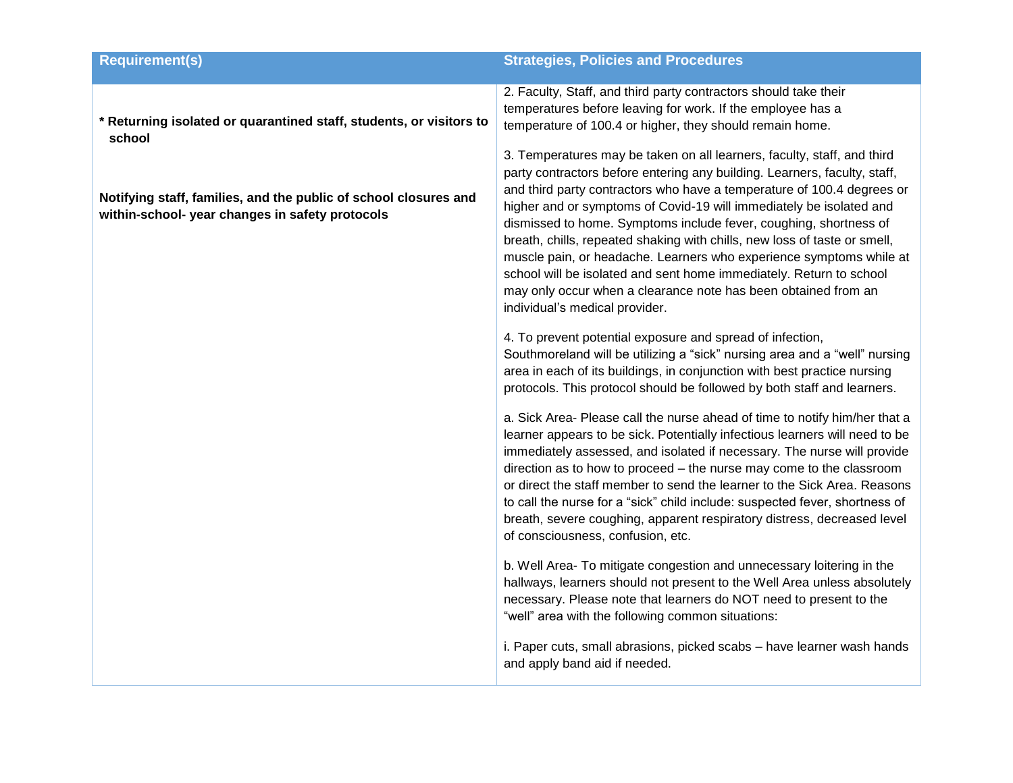| <b>Requirement(s)</b>                                                                                               | <b>Strategies, Policies and Procedures</b>                                                                                                                                                                                                                                                                                                                                                                                                                                                                                                                                                                                                                                                                |
|---------------------------------------------------------------------------------------------------------------------|-----------------------------------------------------------------------------------------------------------------------------------------------------------------------------------------------------------------------------------------------------------------------------------------------------------------------------------------------------------------------------------------------------------------------------------------------------------------------------------------------------------------------------------------------------------------------------------------------------------------------------------------------------------------------------------------------------------|
| * Returning isolated or quarantined staff, students, or visitors to<br>school                                       | 2. Faculty, Staff, and third party contractors should take their<br>temperatures before leaving for work. If the employee has a<br>temperature of 100.4 or higher, they should remain home.                                                                                                                                                                                                                                                                                                                                                                                                                                                                                                               |
| Notifying staff, families, and the public of school closures and<br>within-school- year changes in safety protocols | 3. Temperatures may be taken on all learners, faculty, staff, and third<br>party contractors before entering any building. Learners, faculty, staff,<br>and third party contractors who have a temperature of 100.4 degrees or<br>higher and or symptoms of Covid-19 will immediately be isolated and<br>dismissed to home. Symptoms include fever, coughing, shortness of<br>breath, chills, repeated shaking with chills, new loss of taste or smell,<br>muscle pain, or headache. Learners who experience symptoms while at<br>school will be isolated and sent home immediately. Return to school<br>may only occur when a clearance note has been obtained from an<br>individual's medical provider. |
|                                                                                                                     | 4. To prevent potential exposure and spread of infection,<br>Southmoreland will be utilizing a "sick" nursing area and a "well" nursing<br>area in each of its buildings, in conjunction with best practice nursing<br>protocols. This protocol should be followed by both staff and learners.                                                                                                                                                                                                                                                                                                                                                                                                            |
|                                                                                                                     | a. Sick Area- Please call the nurse ahead of time to notify him/her that a<br>learner appears to be sick. Potentially infectious learners will need to be<br>immediately assessed, and isolated if necessary. The nurse will provide<br>direction as to how to proceed - the nurse may come to the classroom<br>or direct the staff member to send the learner to the Sick Area. Reasons<br>to call the nurse for a "sick" child include: suspected fever, shortness of<br>breath, severe coughing, apparent respiratory distress, decreased level<br>of consciousness, confusion, etc.                                                                                                                   |
|                                                                                                                     | b. Well Area- To mitigate congestion and unnecessary loitering in the<br>hallways, learners should not present to the Well Area unless absolutely<br>necessary. Please note that learners do NOT need to present to the<br>"well" area with the following common situations:                                                                                                                                                                                                                                                                                                                                                                                                                              |
|                                                                                                                     | i. Paper cuts, small abrasions, picked scabs - have learner wash hands<br>and apply band aid if needed.                                                                                                                                                                                                                                                                                                                                                                                                                                                                                                                                                                                                   |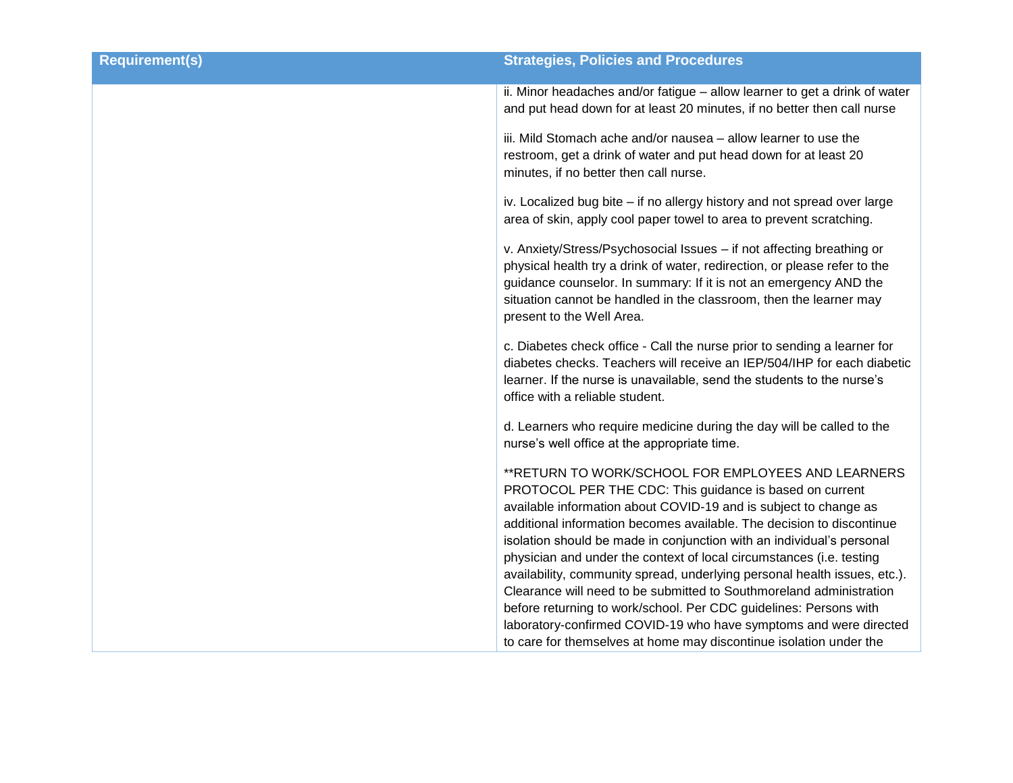| <b>Requirement(s)</b> | <b>Strategies, Policies and Procedures</b>                                                                                                                                                                                                                                                                                                                                                                                                                                                                                                                                                                                                                                                                 |
|-----------------------|------------------------------------------------------------------------------------------------------------------------------------------------------------------------------------------------------------------------------------------------------------------------------------------------------------------------------------------------------------------------------------------------------------------------------------------------------------------------------------------------------------------------------------------------------------------------------------------------------------------------------------------------------------------------------------------------------------|
|                       | ii. Minor headaches and/or fatigue - allow learner to get a drink of water<br>and put head down for at least 20 minutes, if no better then call nurse                                                                                                                                                                                                                                                                                                                                                                                                                                                                                                                                                      |
|                       | iii. Mild Stomach ache and/or nausea - allow learner to use the<br>restroom, get a drink of water and put head down for at least 20<br>minutes, if no better then call nurse.                                                                                                                                                                                                                                                                                                                                                                                                                                                                                                                              |
|                       | iv. Localized bug bite - if no allergy history and not spread over large<br>area of skin, apply cool paper towel to area to prevent scratching.                                                                                                                                                                                                                                                                                                                                                                                                                                                                                                                                                            |
|                       | v. Anxiety/Stress/Psychosocial Issues - if not affecting breathing or<br>physical health try a drink of water, redirection, or please refer to the<br>guidance counselor. In summary: If it is not an emergency AND the<br>situation cannot be handled in the classroom, then the learner may<br>present to the Well Area.                                                                                                                                                                                                                                                                                                                                                                                 |
|                       | c. Diabetes check office - Call the nurse prior to sending a learner for<br>diabetes checks. Teachers will receive an IEP/504/IHP for each diabetic<br>learner. If the nurse is unavailable, send the students to the nurse's<br>office with a reliable student.                                                                                                                                                                                                                                                                                                                                                                                                                                           |
|                       | d. Learners who require medicine during the day will be called to the<br>nurse's well office at the appropriate time.                                                                                                                                                                                                                                                                                                                                                                                                                                                                                                                                                                                      |
|                       | ** RETURN TO WORK/SCHOOL FOR EMPLOYEES AND LEARNERS<br>PROTOCOL PER THE CDC: This guidance is based on current<br>available information about COVID-19 and is subject to change as<br>additional information becomes available. The decision to discontinue<br>isolation should be made in conjunction with an individual's personal<br>physician and under the context of local circumstances (i.e. testing<br>availability, community spread, underlying personal health issues, etc.).<br>Clearance will need to be submitted to Southmoreland administration<br>before returning to work/school. Per CDC guidelines: Persons with<br>laboratory-confirmed COVID-19 who have symptoms and were directed |
|                       | to care for themselves at home may discontinue isolation under the                                                                                                                                                                                                                                                                                                                                                                                                                                                                                                                                                                                                                                         |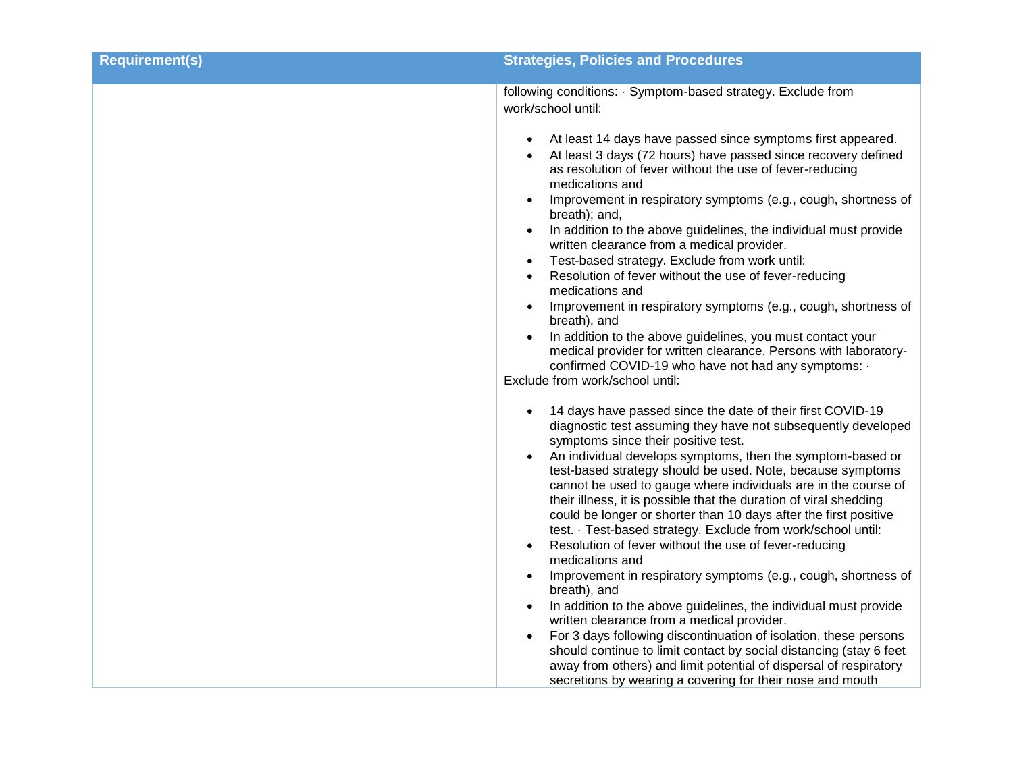| <b>Requirement(s)</b> | <b>Strategies, Policies and Procedures</b>                                                                                                                                                                                                                                                                                                                                                                                                                                                                                                                                                                                                                                                                                                                                                                                                                                                                                                                                                                                                                                                                                                                                                |
|-----------------------|-------------------------------------------------------------------------------------------------------------------------------------------------------------------------------------------------------------------------------------------------------------------------------------------------------------------------------------------------------------------------------------------------------------------------------------------------------------------------------------------------------------------------------------------------------------------------------------------------------------------------------------------------------------------------------------------------------------------------------------------------------------------------------------------------------------------------------------------------------------------------------------------------------------------------------------------------------------------------------------------------------------------------------------------------------------------------------------------------------------------------------------------------------------------------------------------|
|                       | following conditions: · Symptom-based strategy. Exclude from<br>work/school until:                                                                                                                                                                                                                                                                                                                                                                                                                                                                                                                                                                                                                                                                                                                                                                                                                                                                                                                                                                                                                                                                                                        |
|                       | At least 14 days have passed since symptoms first appeared.<br>At least 3 days (72 hours) have passed since recovery defined<br>as resolution of fever without the use of fever-reducing<br>medications and<br>Improvement in respiratory symptoms (e.g., cough, shortness of<br>breath); and,<br>In addition to the above guidelines, the individual must provide<br>$\bullet$<br>written clearance from a medical provider.<br>Test-based strategy. Exclude from work until:<br>$\bullet$<br>Resolution of fever without the use of fever-reducing<br>medications and<br>Improvement in respiratory symptoms (e.g., cough, shortness of<br>breath), and<br>In addition to the above guidelines, you must contact your<br>$\bullet$<br>medical provider for written clearance. Persons with laboratory-<br>confirmed COVID-19 who have not had any symptoms: .<br>Exclude from work/school until:                                                                                                                                                                                                                                                                                        |
|                       | 14 days have passed since the date of their first COVID-19<br>diagnostic test assuming they have not subsequently developed<br>symptoms since their positive test.<br>An individual develops symptoms, then the symptom-based or<br>$\bullet$<br>test-based strategy should be used. Note, because symptoms<br>cannot be used to gauge where individuals are in the course of<br>their illness, it is possible that the duration of viral shedding<br>could be longer or shorter than 10 days after the first positive<br>test. · Test-based strategy. Exclude from work/school until:<br>Resolution of fever without the use of fever-reducing<br>$\bullet$<br>medications and<br>Improvement in respiratory symptoms (e.g., cough, shortness of<br>$\bullet$<br>breath), and<br>In addition to the above guidelines, the individual must provide<br>written clearance from a medical provider.<br>For 3 days following discontinuation of isolation, these persons<br>$\bullet$<br>should continue to limit contact by social distancing (stay 6 feet<br>away from others) and limit potential of dispersal of respiratory<br>secretions by wearing a covering for their nose and mouth |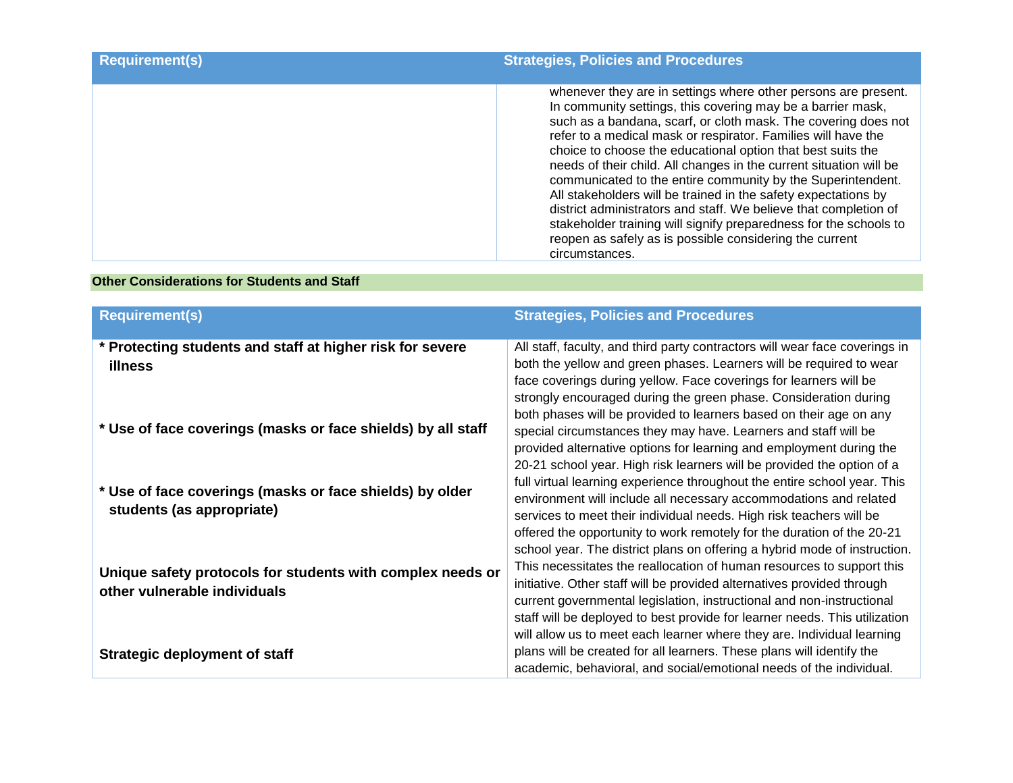| <b>Requirement(s)</b> | <b>Strategies, Policies and Procedures</b>                                                                                                                                                                                                                                                                                                                                                                                                                                                                                                                                                                                                                                                                                                                   |
|-----------------------|--------------------------------------------------------------------------------------------------------------------------------------------------------------------------------------------------------------------------------------------------------------------------------------------------------------------------------------------------------------------------------------------------------------------------------------------------------------------------------------------------------------------------------------------------------------------------------------------------------------------------------------------------------------------------------------------------------------------------------------------------------------|
|                       | whenever they are in settings where other persons are present.<br>In community settings, this covering may be a barrier mask,<br>such as a bandana, scarf, or cloth mask. The covering does not<br>refer to a medical mask or respirator. Families will have the<br>choice to choose the educational option that best suits the<br>needs of their child. All changes in the current situation will be<br>communicated to the entire community by the Superintendent.<br>All stakeholders will be trained in the safety expectations by<br>district administrators and staff. We believe that completion of<br>stakeholder training will signify preparedness for the schools to<br>reopen as safely as is possible considering the current<br>circumstances. |

#### **Other Considerations for Students and Staff**

| <b>Requirement(s)</b>                                                                      | <b>Strategies, Policies and Procedures</b>                                                                                                                                                                                                                                                                                                                                  |
|--------------------------------------------------------------------------------------------|-----------------------------------------------------------------------------------------------------------------------------------------------------------------------------------------------------------------------------------------------------------------------------------------------------------------------------------------------------------------------------|
| * Protecting students and staff at higher risk for severe<br><b>illness</b>                | All staff, faculty, and third party contractors will wear face coverings in<br>both the yellow and green phases. Learners will be required to wear<br>face coverings during yellow. Face coverings for learners will be<br>strongly encouraged during the green phase. Consideration during<br>both phases will be provided to learners based on their age on any           |
| * Use of face coverings (masks or face shields) by all staff                               | special circumstances they may have. Learners and staff will be<br>provided alternative options for learning and employment during the<br>20-21 school year. High risk learners will be provided the option of a                                                                                                                                                            |
| * Use of face coverings (masks or face shields) by older<br>students (as appropriate)      | full virtual learning experience throughout the entire school year. This<br>environment will include all necessary accommodations and related<br>services to meet their individual needs. High risk teachers will be<br>offered the opportunity to work remotely for the duration of the 20-21<br>school year. The district plans on offering a hybrid mode of instruction. |
| Unique safety protocols for students with complex needs or<br>other vulnerable individuals | This necessitates the reallocation of human resources to support this<br>initiative. Other staff will be provided alternatives provided through<br>current governmental legislation, instructional and non-instructional<br>staff will be deployed to best provide for learner needs. This utilization                                                                      |
| <b>Strategic deployment of staff</b>                                                       | will allow us to meet each learner where they are. Individual learning<br>plans will be created for all learners. These plans will identify the<br>academic, behavioral, and social/emotional needs of the individual.                                                                                                                                                      |